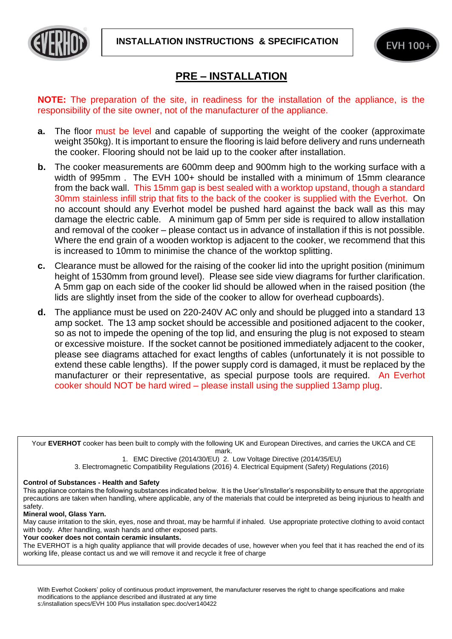



## **PRE – INSTALLATION**

**NOTE:** The preparation of the site, in readiness for the installation of the appliance, is the responsibility of the site owner, not of the manufacturer of the appliance.

- **a.** The floor must be level and capable of supporting the weight of the cooker (approximate weight 350kg). It is important to ensure the flooring is laid before delivery and runs underneath the cooker. Flooring should not be laid up to the cooker after installation.
- **b.** The cooker measurements are 600mm deep and 900mm high to the working surface with a width of 995mm. The EVH 100+ should be installed with a minimum of 15mm clearance from the back wall. This 15mm gap is best sealed with a worktop upstand, though a standard 30mm stainless infill strip that fits to the back of the cooker is supplied with the Everhot. On no account should any Everhot model be pushed hard against the back wall as this may damage the electric cable. A minimum gap of 5mm per side is required to allow installation and removal of the cooker – please contact us in advance of installation if this is not possible. Where the end grain of a wooden worktop is adjacent to the cooker, we recommend that this is increased to 10mm to minimise the chance of the worktop splitting.
- **c.** Clearance must be allowed for the raising of the cooker lid into the upright position (minimum height of 1530mm from ground level). Please see side view diagrams for further clarification. A 5mm gap on each side of the cooker lid should be allowed when in the raised position (the lids are slightly inset from the side of the cooker to allow for overhead cupboards).
- **d.** The appliance must be used on 220-240V AC only and should be plugged into a standard 13 amp socket. The 13 amp socket should be accessible and positioned adjacent to the cooker, so as not to impede the opening of the top lid, and ensuring the plug is not exposed to steam or excessive moisture. If the socket cannot be positioned immediately adjacent to the cooker, please see diagrams attached for exact lengths of cables (unfortunately it is not possible to extend these cable lengths). If the power supply cord is damaged, it must be replaced by the manufacturer or their representative, as special purpose tools are required. An Everhot cooker should NOT be hard wired – please install using the supplied 13amp plug.

Your **EVERHOT** cooker has been built to comply with the following UK and European Directives, and carries the UKCA and CE mark.

1. EMC Directive (2014/30/EU) 2. Low Voltage Directive (2014/35/EU)

3. Electromagnetic Compatibility Regulations (2016) 4. Electrical Equipment (Safety) Regulations (2016)

## **Control of Substances - Health and Safety**

This appliance contains the following substances indicated below. It is the User's/Installer's responsibility to ensure that the appropriate precautions are taken when handling, where applicable, any of the materials that could be interpreted as being injurious to health and safety.

## **Mineral wool, Glass Yarn.**

May cause irritation to the skin, eyes, nose and throat, may be harmful if inhaled. Use appropriate protective clothing to avoid contact with body. After handling, wash hands and other exposed parts.

**Your cooker does not contain ceramic insulants.** 

The EVERHOT is a high quality appliance that will provide decades of use, however when you feel that it has reached the end of its working life, please contact us and we will remove it and recycle it free of charge